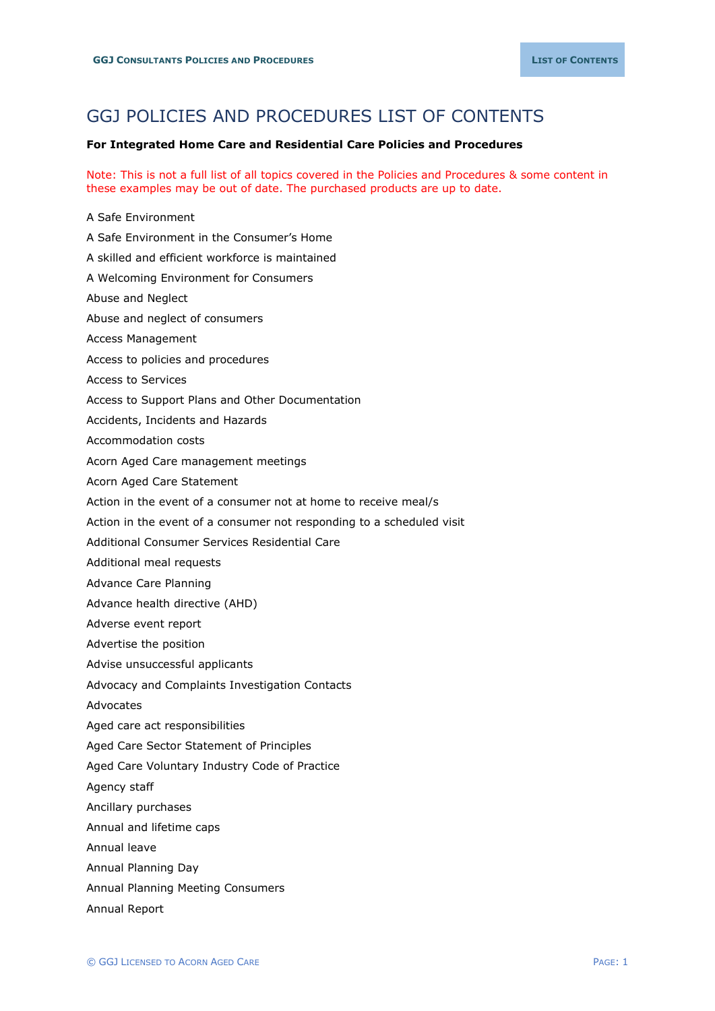## GGJ POLICIES AND PROCEDURES LIST OF CONTENTS

## **For Integrated Home Care and Residential Care Policies and Procedures**

Note: This is not a full list of all topics covered in the Policies and Procedures & some content in these examples may be out of date. The purchased products are up to date.

A Safe Environment A Safe Environment in the Consumer's Home A skilled and efficient workforce is maintained A Welcoming Environment for Consumers Abuse and Neglect Abuse and neglect of consumers Access Management Access to policies and procedures Access to Services Access to Support Plans and Other Documentation Accidents, Incidents and Hazards Accommodation costs Acorn Aged Care management meetings Acorn Aged Care Statement Action in the event of a consumer not at home to receive meal/s Action in the event of a consumer not responding to a scheduled visit Additional Consumer Services Residential Care Additional meal requests Advance Care Planning Advance health directive (AHD) Adverse event report Advertise the position Advise unsuccessful applicants Advocacy and Complaints Investigation Contacts Advocates Aged care act responsibilities Aged Care Sector Statement of Principles Aged Care Voluntary Industry Code of Practice Agency staff Ancillary purchases Annual and lifetime caps Annual leave Annual Planning Day Annual Planning Meeting Consumers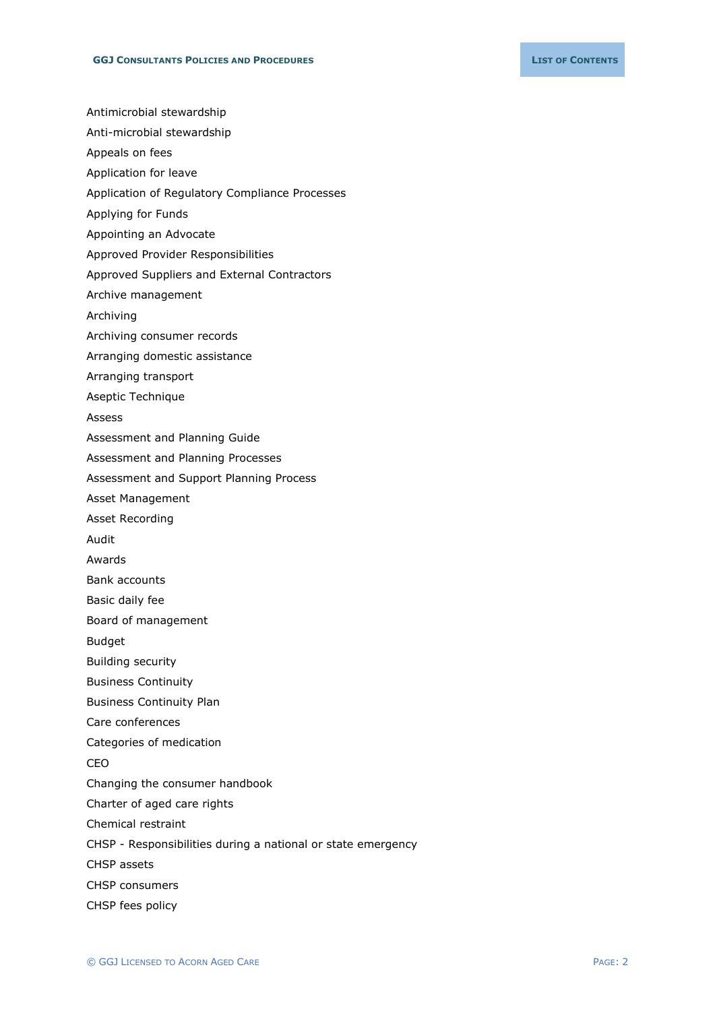Antimicrobial stewardship

- Anti-microbial stewardship
- Appeals on fees
- Application for leave
- Application of Regulatory Compliance Processes
- Applying for Funds
- Appointing an Advocate
- Approved Provider Responsibilities
- Approved Suppliers and External Contractors
- Archive management
- Archiving
- Archiving consumer records
- Arranging domestic assistance
- Arranging transport
- Aseptic Technique
- Assess
- Assessment and Planning Guide
- Assessment and Planning Processes
- Assessment and Support Planning Process
- Asset Management
- Asset Recording
- Audit
- Awards
- Bank accounts
- Basic daily fee
- Board of management
- Budget
- Building security
- Business Continuity
- Business Continuity Plan
- Care conferences
- Categories of medication
- CEO
- Changing the consumer handbook
- Charter of aged care rights
- Chemical restraint
- CHSP Responsibilities during a national or state emergency
- CHSP assets
- CHSP consumers
- CHSP fees policy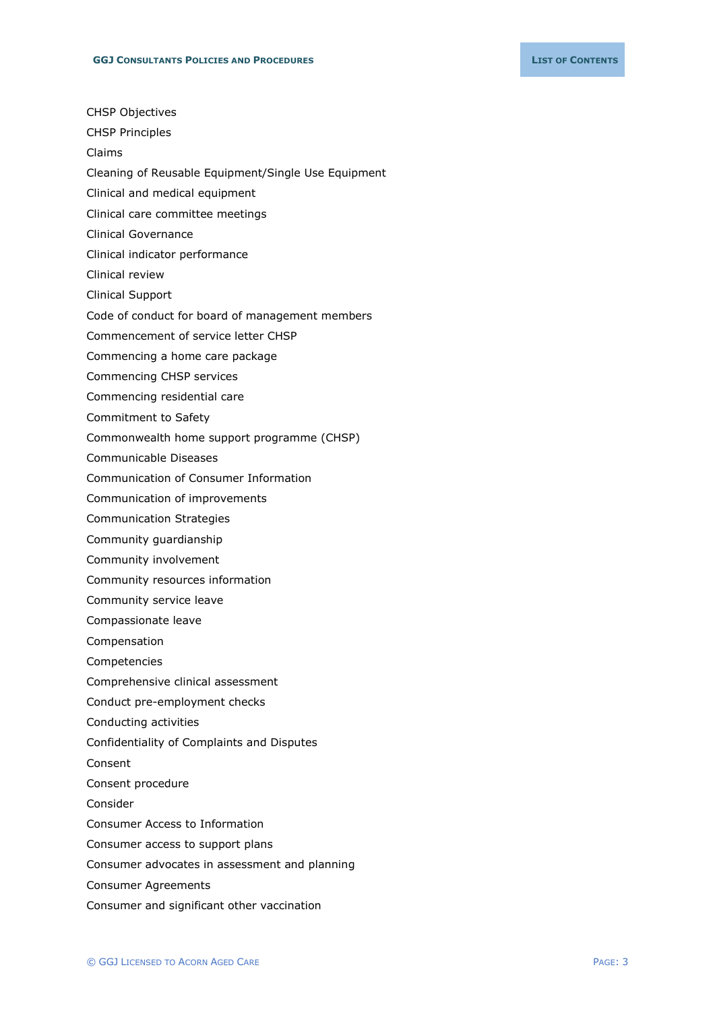- CHSP Objectives
- CHSP Principles
- Claims
- Cleaning of Reusable Equipment/Single Use Equipment
- Clinical and medical equipment
- Clinical care committee meetings
- Clinical Governance
- Clinical indicator performance
- Clinical review
- Clinical Support
- Code of conduct for board of management members
- Commencement of service letter CHSP
- Commencing a home care package
- Commencing CHSP services
- Commencing residential care
- Commitment to Safety
- Commonwealth home support programme (CHSP)
- Communicable Diseases
- Communication of Consumer Information
- Communication of improvements
- Communication Strategies
- Community guardianship
- Community involvement
- Community resources information
- Community service leave
- Compassionate leave
- Compensation
- Competencies
- Comprehensive clinical assessment
- Conduct pre-employment checks
- Conducting activities
- Confidentiality of Complaints and Disputes
- Consent
- Consent procedure
- Consider
- Consumer Access to Information
- Consumer access to support plans
- Consumer advocates in assessment and planning
- Consumer Agreements
- Consumer and significant other vaccination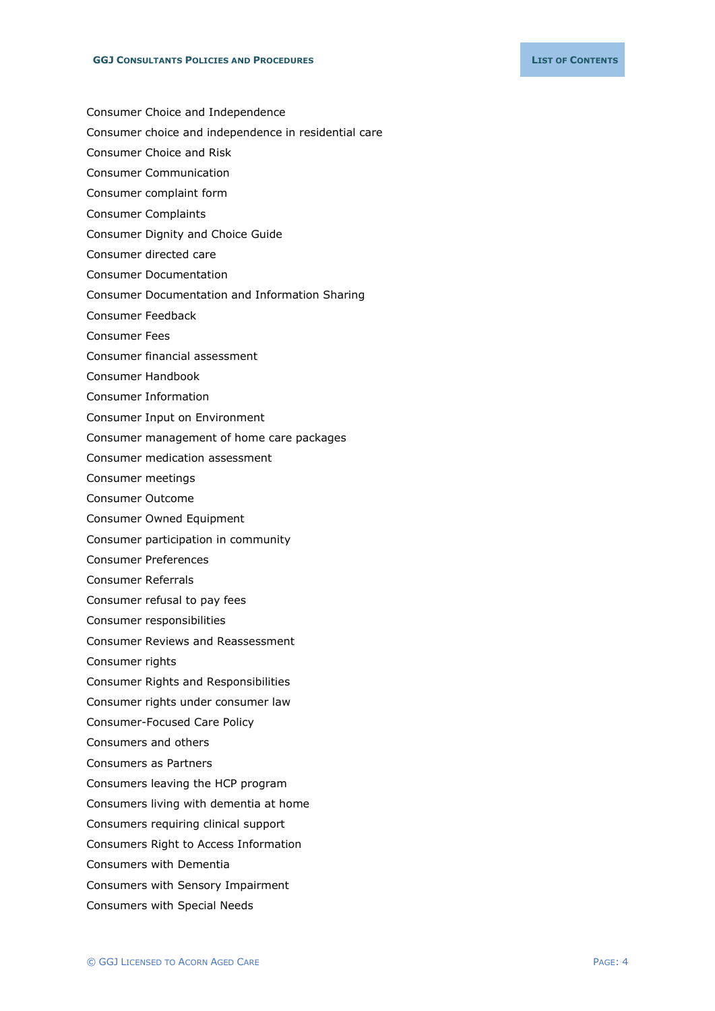- Consumer Choice and Independence
- Consumer choice and independence in residential care
- Consumer Choice and Risk
- Consumer Communication
- Consumer complaint form
- Consumer Complaints
- Consumer Dignity and Choice Guide
- Consumer directed care
- Consumer Documentation
- Consumer Documentation and Information Sharing
- Consumer Feedback
- Consumer Fees
- Consumer financial assessment
- Consumer Handbook
- Consumer Information
- Consumer Input on Environment
- Consumer management of home care packages
- Consumer medication assessment
- Consumer meetings
- Consumer Outcome
- Consumer Owned Equipment
- Consumer participation in community
- Consumer Preferences
- Consumer Referrals
- Consumer refusal to pay fees
- Consumer responsibilities
- Consumer Reviews and Reassessment
- Consumer rights
- Consumer Rights and Responsibilities
- Consumer rights under consumer law
- Consumer-Focused Care Policy
- Consumers and others
- Consumers as Partners
- Consumers leaving the HCP program
- Consumers living with dementia at home
- Consumers requiring clinical support
- Consumers Right to Access Information
- Consumers with Dementia
- Consumers with Sensory Impairment
- Consumers with Special Needs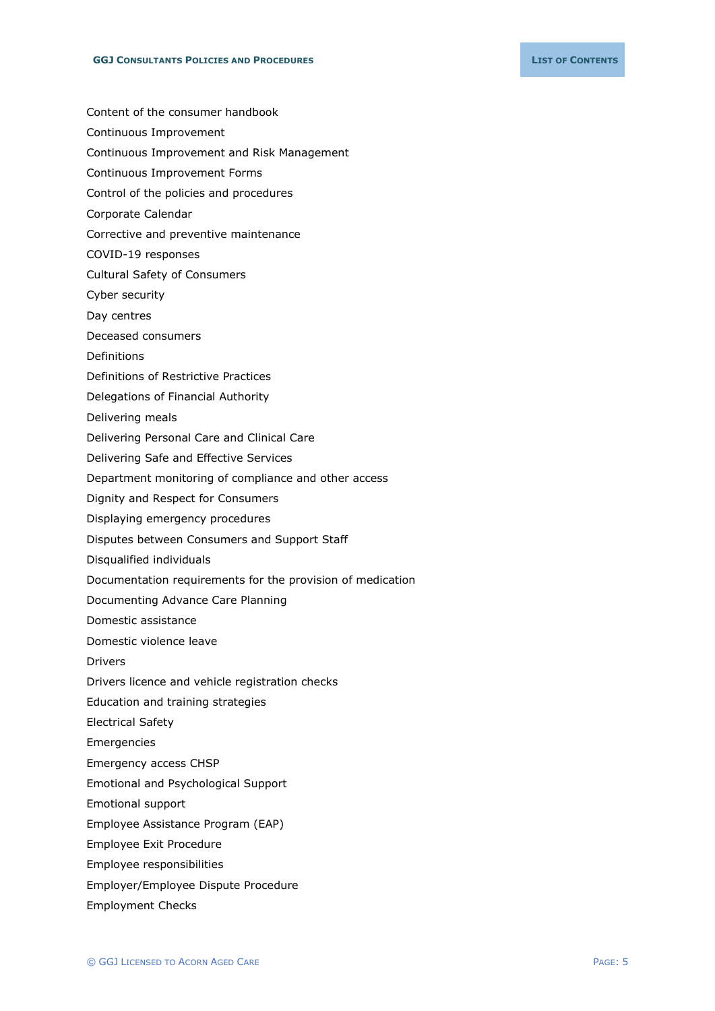- Content of the consumer handbook
- Continuous Improvement
- Continuous Improvement and Risk Management
- Continuous Improvement Forms
- Control of the policies and procedures
- Corporate Calendar
- Corrective and preventive maintenance
- COVID-19 responses
- Cultural Safety of Consumers
- Cyber security
- Day centres
- Deceased consumers
- Definitions
- Definitions of Restrictive Practices
- Delegations of Financial Authority
- Delivering meals
- Delivering Personal Care and Clinical Care
- Delivering Safe and Effective Services
- Department monitoring of compliance and other access
- Dignity and Respect for Consumers
- Displaying emergency procedures
- Disputes between Consumers and Support Staff
- Disqualified individuals
- Documentation requirements for the provision of medication
- Documenting Advance Care Planning
- Domestic assistance
- Domestic violence leave
- Drivers
- Drivers licence and vehicle registration checks
- Education and training strategies
- Electrical Safety
- Emergencies
- Emergency access CHSP
- Emotional and Psychological Support
- Emotional support
- Employee Assistance Program (EAP)
- Employee Exit Procedure
- Employee responsibilities
- Employer/Employee Dispute Procedure
- Employment Checks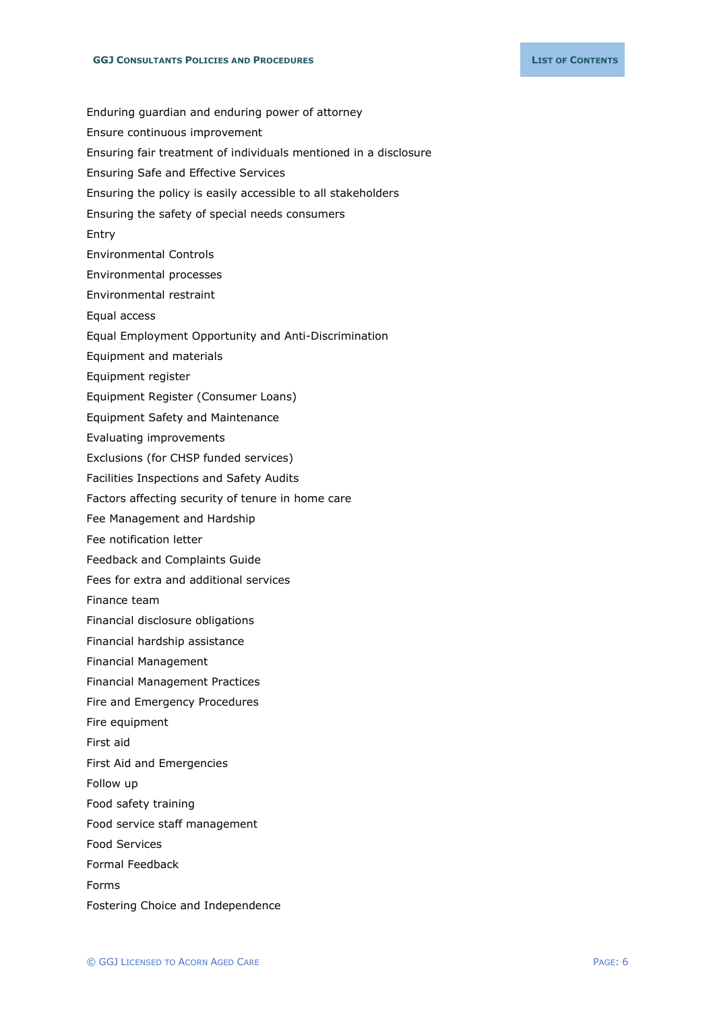Enduring guardian and enduring power of attorney Ensure continuous improvement Ensuring fair treatment of individuals mentioned in a disclosure Ensuring Safe and Effective Services Ensuring the policy is easily accessible to all stakeholders Ensuring the safety of special needs consumers Entry Environmental Controls Environmental processes Environmental restraint Equal access Equal Employment Opportunity and Anti-Discrimination Equipment and materials Equipment register Equipment Register (Consumer Loans) Equipment Safety and Maintenance Evaluating improvements Exclusions (for CHSP funded services) Facilities Inspections and Safety Audits Factors affecting security of tenure in home care Fee Management and Hardship Fee notification letter Feedback and Complaints Guide Fees for extra and additional services Finance team Financial disclosure obligations Financial hardship assistance Financial Management Financial Management Practices Fire and Emergency Procedures Fire equipment First aid First Aid and Emergencies Follow up Food safety training Food service staff management

Food Services

Formal Feedback

Forms

Fostering Choice and Independence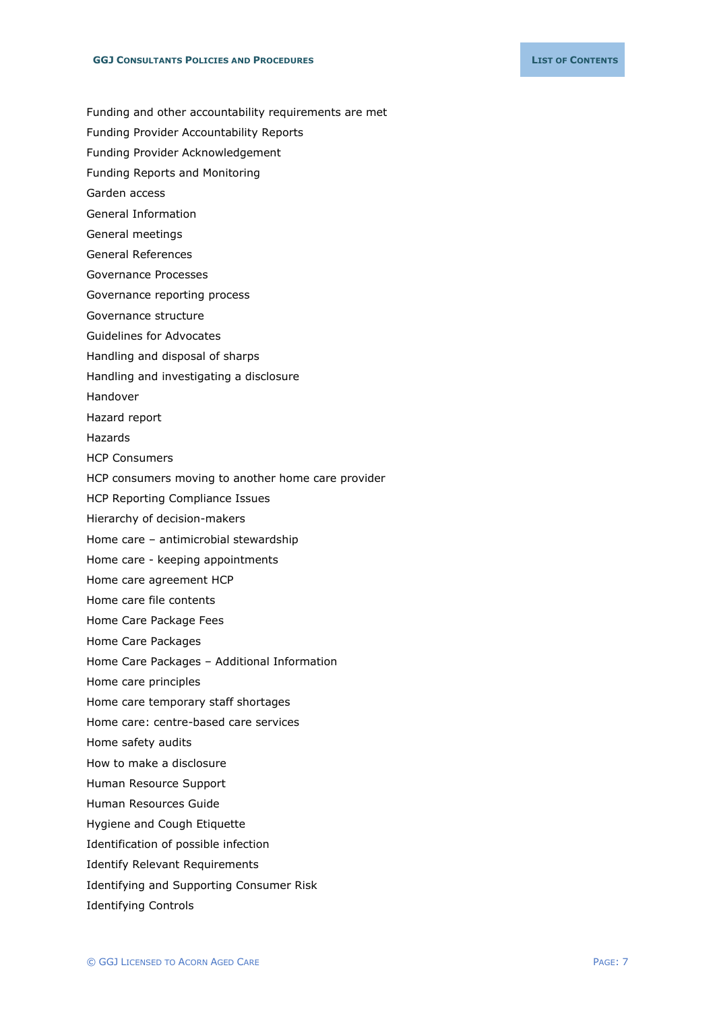- Funding and other accountability requirements are met
- Funding Provider Accountability Reports
- Funding Provider Acknowledgement
- Funding Reports and Monitoring
- Garden access
- General Information
- General meetings
- General References
- Governance Processes
- Governance reporting process
- Governance structure
- Guidelines for Advocates
- Handling and disposal of sharps
- Handling and investigating a disclosure
- Handover
- Hazard report
- Hazards
- HCP Consumers
- HCP consumers moving to another home care provider
- HCP Reporting Compliance Issues
- Hierarchy of decision-makers
- Home care antimicrobial stewardship
- Home care keeping appointments
- Home care agreement HCP
- Home care file contents
- Home Care Package Fees
- Home Care Packages
- Home Care Packages Additional Information
- Home care principles
- Home care temporary staff shortages
- Home care: centre-based care services
- Home safety audits
- How to make a disclosure
- Human Resource Support
- Human Resources Guide
- Hygiene and Cough Etiquette
- Identification of possible infection
- Identify Relevant Requirements
- Identifying and Supporting Consumer Risk
- Identifying Controls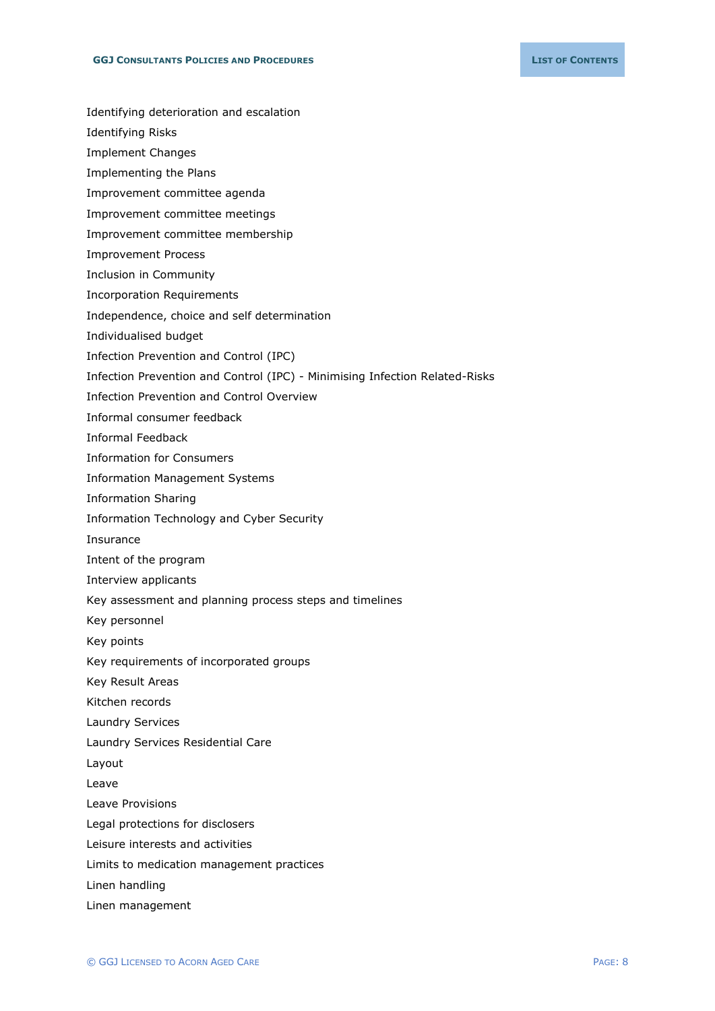- Identifying deterioration and escalation
- Identifying Risks
- Implement Changes
- Implementing the Plans
- Improvement committee agenda
- Improvement committee meetings
- Improvement committee membership
- Improvement Process
- Inclusion in Community
- Incorporation Requirements
- Independence, choice and self determination
- Individualised budget
- Infection Prevention and Control (IPC)
- Infection Prevention and Control (IPC) Minimising Infection Related-Risks
- Infection Prevention and Control Overview
- Informal consumer feedback
- Informal Feedback
- Information for Consumers
- Information Management Systems
- Information Sharing
- Information Technology and Cyber Security
- Insurance
- Intent of the program
- Interview applicants
- Key assessment and planning process steps and timelines
- Key personnel
- Key points
- Key requirements of incorporated groups
- Key Result Areas
- Kitchen records
- Laundry Services
- Laundry Services Residential Care
- Layout
- Leave
- Leave Provisions
- Legal protections for disclosers
- Leisure interests and activities
- Limits to medication management practices
- Linen handling
- Linen management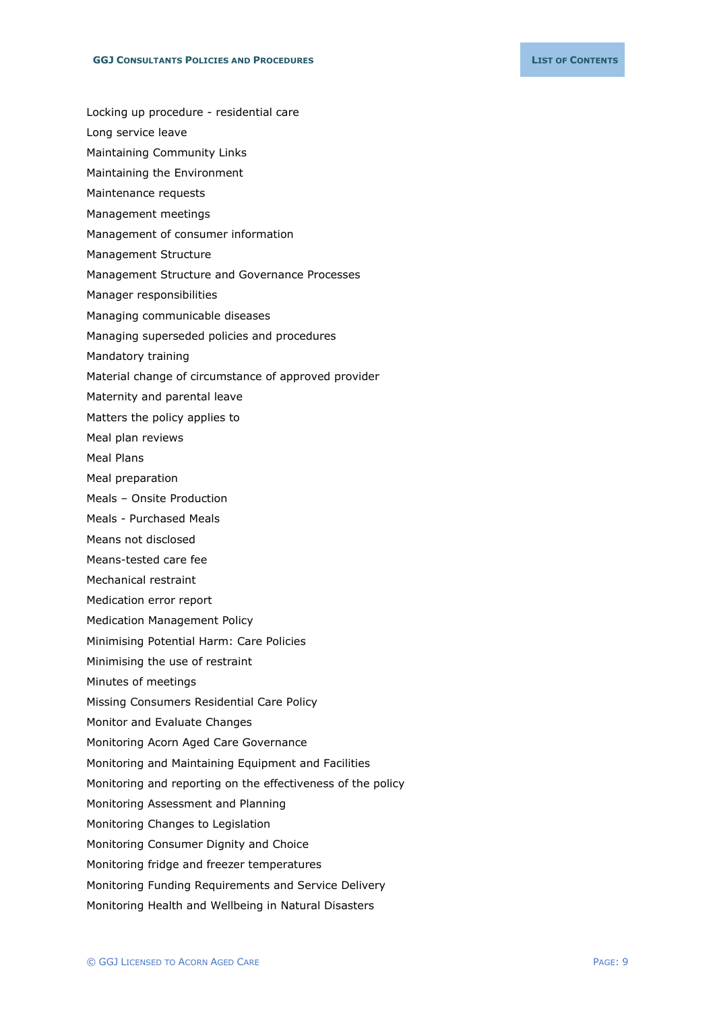- Locking up procedure residential care
- Long service leave
- Maintaining Community Links
- Maintaining the Environment
- Maintenance requests
- Management meetings
- Management of consumer information
- Management Structure
- Management Structure and Governance Processes
- Manager responsibilities
- Managing communicable diseases
- Managing superseded policies and procedures
- Mandatory training
- Material change of circumstance of approved provider
- Maternity and parental leave
- Matters the policy applies to
- Meal plan reviews
- Meal Plans
- Meal preparation
- Meals Onsite Production
- Meals Purchased Meals
- Means not disclosed
- Means-tested care fee
- Mechanical restraint
- Medication error report
- Medication Management Policy
- Minimising Potential Harm: Care Policies
- Minimising the use of restraint
- Minutes of meetings
- Missing Consumers Residential Care Policy
- Monitor and Evaluate Changes
- Monitoring Acorn Aged Care Governance
- Monitoring and Maintaining Equipment and Facilities
- Monitoring and reporting on the effectiveness of the policy
- Monitoring Assessment and Planning
- Monitoring Changes to Legislation
- Monitoring Consumer Dignity and Choice
- Monitoring fridge and freezer temperatures
- Monitoring Funding Requirements and Service Delivery
- Monitoring Health and Wellbeing in Natural Disasters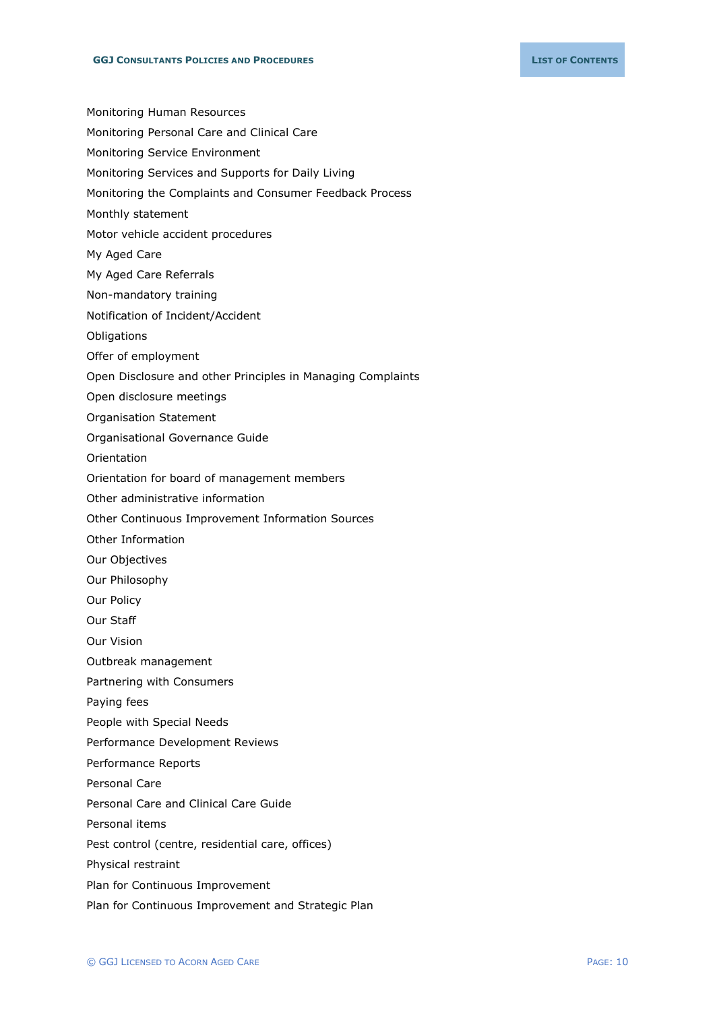Monitoring Human Resources

- Monitoring Personal Care and Clinical Care
- Monitoring Service Environment
- Monitoring Services and Supports for Daily Living
- Monitoring the Complaints and Consumer Feedback Process
- Monthly statement
- Motor vehicle accident procedures
- My Aged Care
- My Aged Care Referrals
- Non-mandatory training
- Notification of Incident/Accident
- **Obligations**
- Offer of employment
- Open Disclosure and other Principles in Managing Complaints
- Open disclosure meetings
- Organisation Statement
- Organisational Governance Guide
- Orientation
- Orientation for board of management members
- Other administrative information
- Other Continuous Improvement Information Sources
- Other Information
- Our Objectives
- Our Philosophy
- Our Policy
- Our Staff
- Our Vision
- Outbreak management
- Partnering with Consumers
- Paying fees
- People with Special Needs
- Performance Development Reviews
- Performance Reports
- Personal Care
- Personal Care and Clinical Care Guide
- Personal items
- Pest control (centre, residential care, offices)
- Physical restraint
- Plan for Continuous Improvement
- Plan for Continuous Improvement and Strategic Plan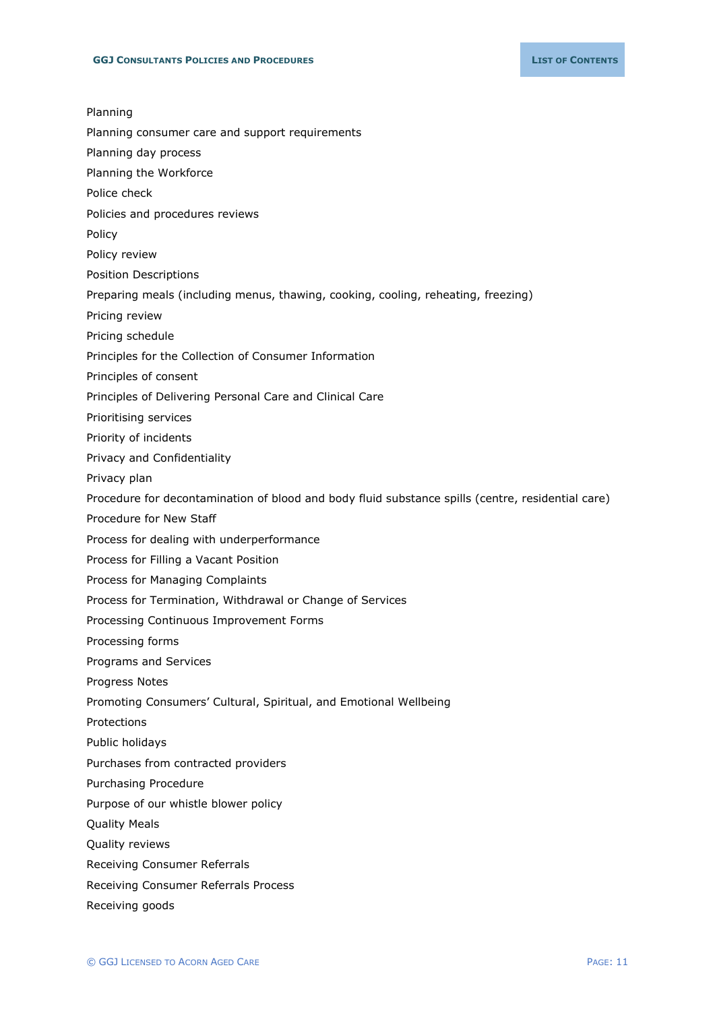| Procedure for decontamination of blood and body fluid substance spills (centre, residential care) |
|---------------------------------------------------------------------------------------------------|
|                                                                                                   |
|                                                                                                   |
|                                                                                                   |
|                                                                                                   |
|                                                                                                   |
|                                                                                                   |
|                                                                                                   |
|                                                                                                   |
|                                                                                                   |
|                                                                                                   |
|                                                                                                   |
|                                                                                                   |
|                                                                                                   |
|                                                                                                   |
|                                                                                                   |
|                                                                                                   |
|                                                                                                   |
|                                                                                                   |
|                                                                                                   |
|                                                                                                   |
|                                                                                                   |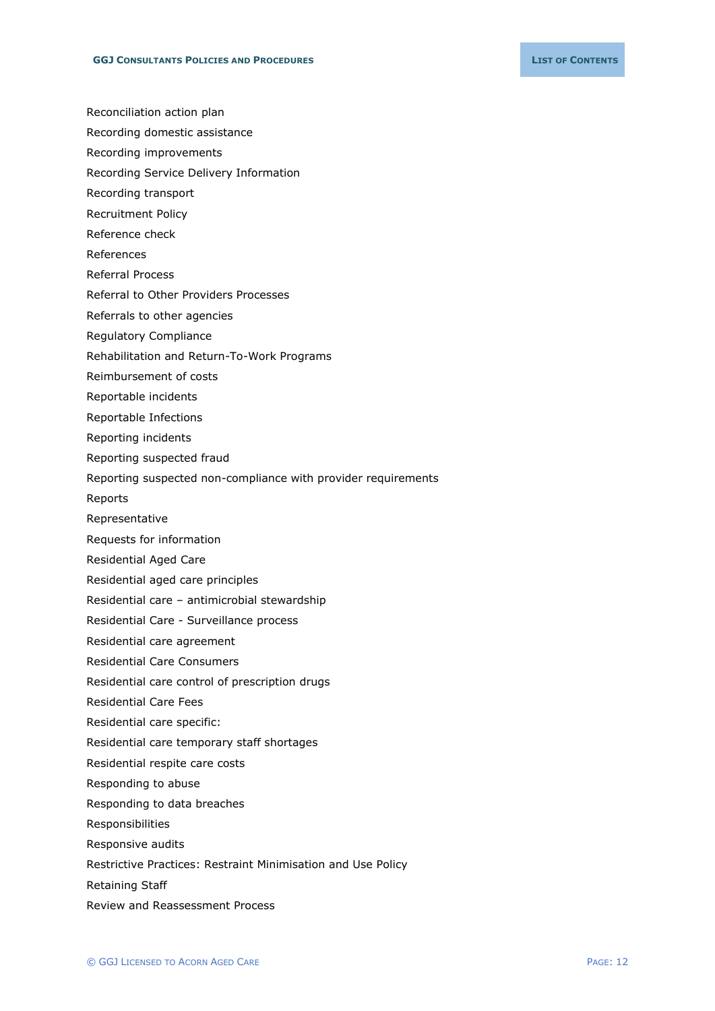- Reconciliation action plan
- Recording domestic assistance
- Recording improvements
- Recording Service Delivery Information
- Recording transport
- Recruitment Policy
- Reference check
- References
- Referral Process
- Referral to Other Providers Processes
- Referrals to other agencies
- Regulatory Compliance
- Rehabilitation and Return-To-Work Programs
- Reimbursement of costs
- Reportable incidents
- Reportable Infections
- Reporting incidents
- Reporting suspected fraud
- Reporting suspected non-compliance with provider requirements
- Reports
- Representative
- Requests for information
- Residential Aged Care
- Residential aged care principles
- Residential care antimicrobial stewardship
- Residential Care Surveillance process
- Residential care agreement
- Residential Care Consumers
- Residential care control of prescription drugs
- Residential Care Fees
- Residential care specific:
- Residential care temporary staff shortages
- Residential respite care costs
- Responding to abuse
- Responding to data breaches
- Responsibilities
- Responsive audits
- Restrictive Practices: Restraint Minimisation and Use Policy
- Retaining Staff
- Review and Reassessment Process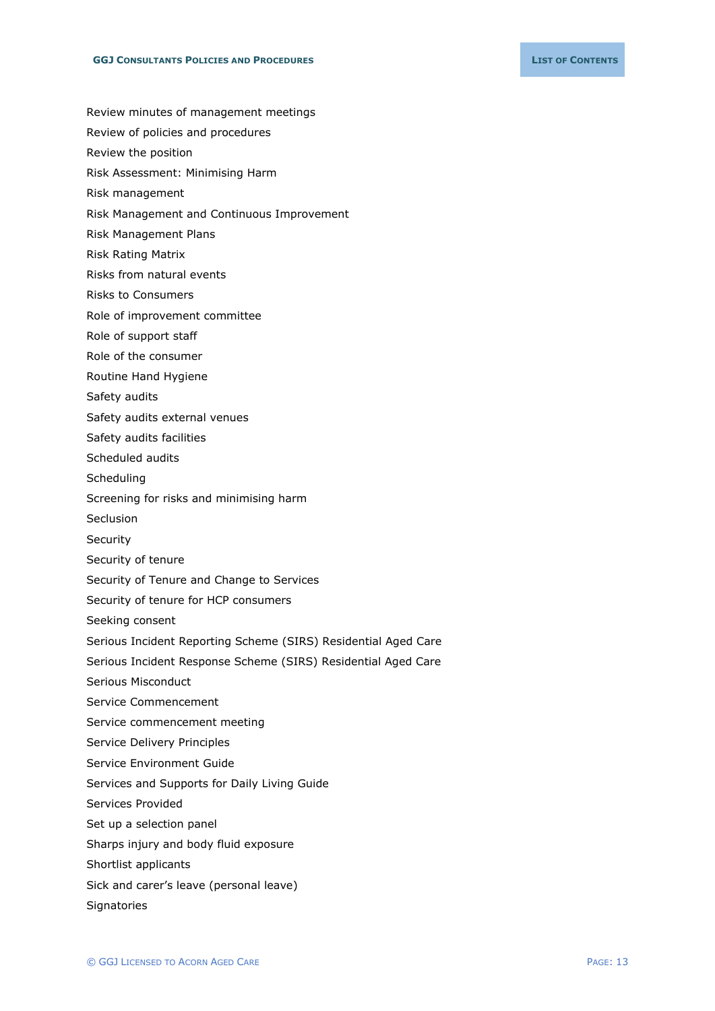- Review minutes of management meetings
- Review of policies and procedures
- Review the position
- Risk Assessment: Minimising Harm
- Risk management
- Risk Management and Continuous Improvement
- Risk Management Plans
- Risk Rating Matrix
- Risks from natural events
- Risks to Consumers
- Role of improvement committee
- Role of support staff
- Role of the consumer
- Routine Hand Hygiene
- Safety audits
- Safety audits external venues
- Safety audits facilities
- Scheduled audits
- **Scheduling**
- Screening for risks and minimising harm
- Seclusion
- **Security**
- Security of tenure
- Security of Tenure and Change to Services
- Security of tenure for HCP consumers
- Seeking consent
- Serious Incident Reporting Scheme (SIRS) Residential Aged Care
- Serious Incident Response Scheme (SIRS) Residential Aged Care
- Serious Misconduct
- Service Commencement
- Service commencement meeting
- Service Delivery Principles
- Service Environment Guide
- Services and Supports for Daily Living Guide
- Services Provided
- Set up a selection panel
- Sharps injury and body fluid exposure
- Shortlist applicants
- Sick and carer's leave (personal leave)
- **Signatories**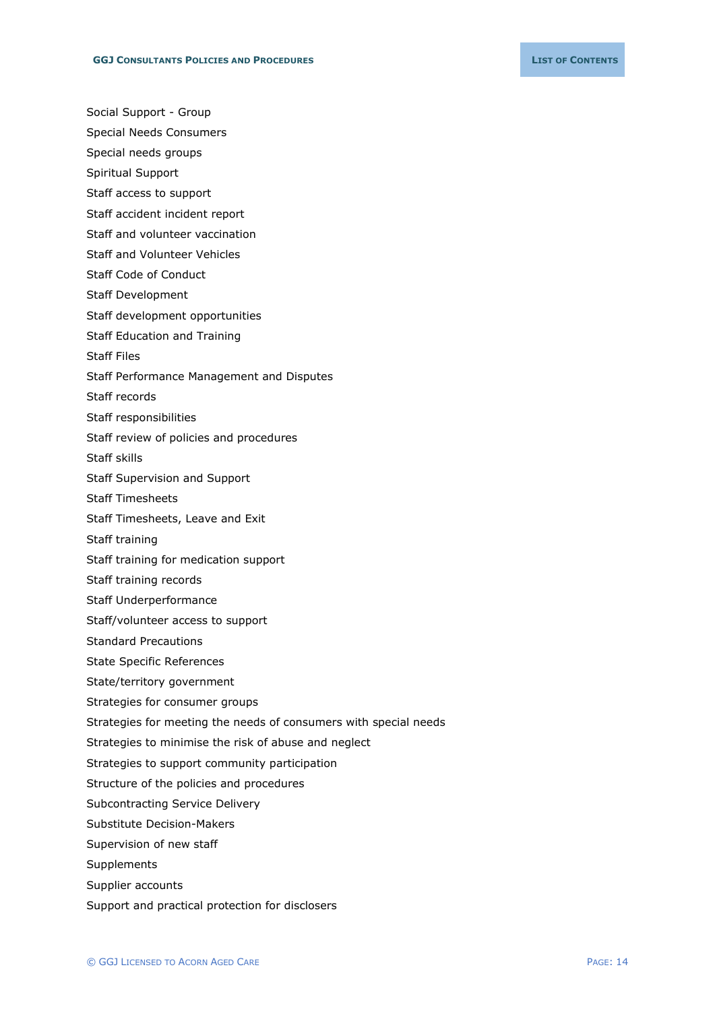Social Support - Group

- Special Needs Consumers
- Special needs groups
- Spiritual Support
- Staff access to support
- Staff accident incident report
- Staff and volunteer vaccination
- Staff and Volunteer Vehicles
- Staff Code of Conduct
- Staff Development
- Staff development opportunities
- Staff Education and Training
- Staff Files
- Staff Performance Management and Disputes
- Staff records
- Staff responsibilities
- Staff review of policies and procedures
- Staff skills
- Staff Supervision and Support
- Staff Timesheets
- Staff Timesheets, Leave and Exit
- Staff training
- Staff training for medication support
- Staff training records
- Staff Underperformance
- Staff/volunteer access to support
- Standard Precautions
- State Specific References
- State/territory government
- Strategies for consumer groups
- Strategies for meeting the needs of consumers with special needs
- Strategies to minimise the risk of abuse and neglect
- Strategies to support community participation
- Structure of the policies and procedures
- Subcontracting Service Delivery
- Substitute Decision-Makers
- Supervision of new staff
- Supplements
- Supplier accounts
- Support and practical protection for disclosers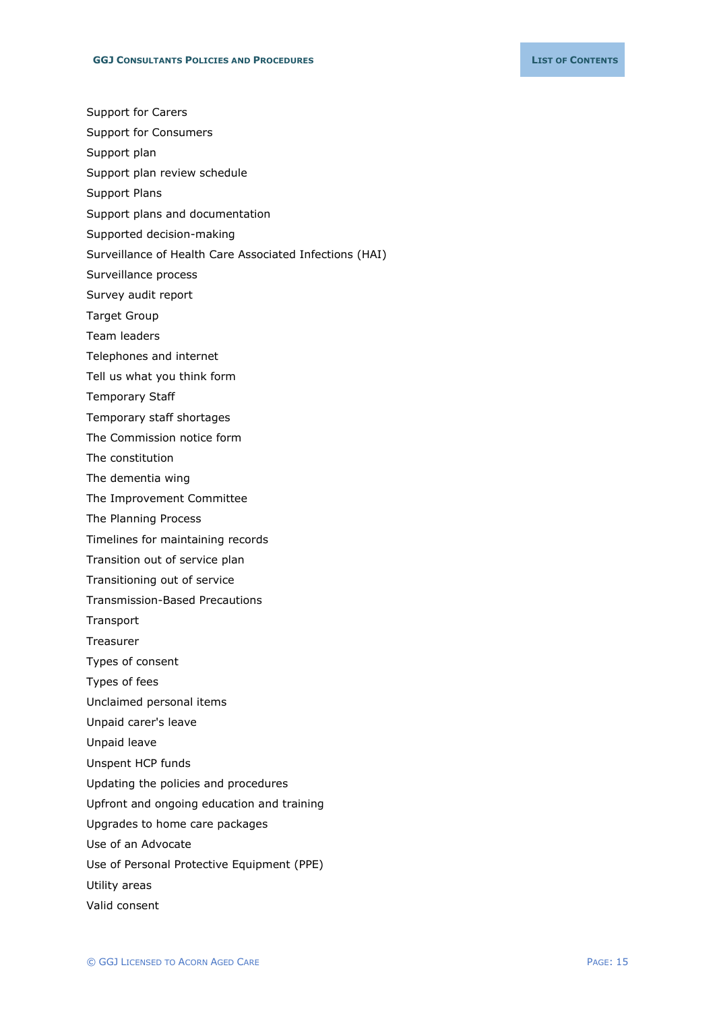- Support for Carers
- Support for Consumers
- Support plan
- Support plan review schedule
- Support Plans
- Support plans and documentation
- Supported decision-making
- Surveillance of Health Care Associated Infections (HAI)
- Surveillance process
- Survey audit report
- Target Group
- Team leaders
- Telephones and internet
- Tell us what you think form
- Temporary Staff
- Temporary staff shortages
- The Commission notice form
- The constitution
- The dementia wing
- The Improvement Committee
- The Planning Process
- Timelines for maintaining records
- Transition out of service plan
- Transitioning out of service
- Transmission-Based Precautions
- Transport
- Treasurer
- Types of consent
- Types of fees
- Unclaimed personal items
- Unpaid carer's leave
- Unpaid leave
- Unspent HCP funds
- Updating the policies and procedures
- Upfront and ongoing education and training
- Upgrades to home care packages
- Use of an Advocate
- Use of Personal Protective Equipment (PPE)
- Utility areas
- Valid consent